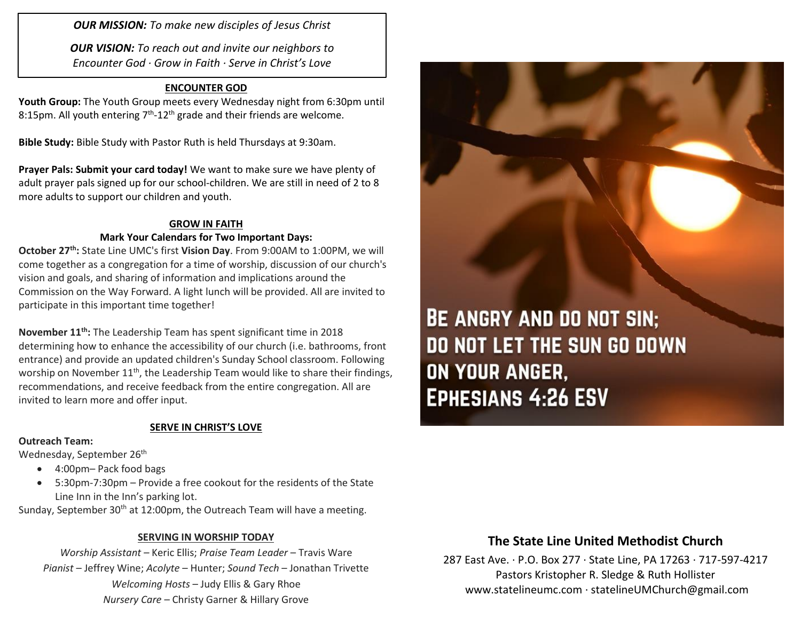*OUR MISSION: To make new disciples of Jesus Christ*

*OUR VISION: To reach out and invite our neighbors to Encounter God · Grow in Faith · Serve in Christ's Love*

### **ENCOUNTER GOD**

**Youth Group:** The Youth Group meets every Wednesday night from 6:30pm until 8:15pm. All youth entering  $7<sup>th</sup>$ -12<sup>th</sup> grade and their friends are welcome.

**Bible Study:** Bible Study with Pastor Ruth is held Thursdays at 9:30am.

**Prayer Pals: Submit your card today!** We want to make sure we have plenty of adult prayer pals signed up for our school-children. We are still in need of 2 to 8 more adults to support our children and youth.

### **GROW IN FAITH**

#### **Mark Your Calendars for Two Important Days:**

**October 27th:** State Line UMC's first **Vision Day**. From 9:00AM to 1:00PM, we will come together as a congregation for a time of worship, discussion of our church's vision and goals, and sharing of information and implications around the Commission on the Way Forward. A light lunch will be provided. All are invited to participate in this important time together!

**November 11th:** The Leadership Team has spent significant time in 2018 determining how to enhance the accessibility of our church (i.e. bathrooms, front entrance) and provide an updated children's Sunday School classroom. Following worship on November 11<sup>th</sup>, the Leadership Team would like to share their findings, recommendations, and receive feedback from the entire congregation. All are invited to learn more and offer input.

### **SERVE IN CHRIST'S LOVE**

### **Outreach Team:**

Wednesday, September 26<sup>th</sup>

- 4:00pm– Pack food bags
- 5:30pm-7:30pm Provide a free cookout for the residents of the State Line Inn in the Inn's parking lot.

Sunday, September 30<sup>th</sup> at 12:00pm, the Outreach Team will have a meeting.

### **SERVING IN WORSHIP TODAY**

*Worship Assistant –* Keric Ellis; *Praise Team Leader* – Travis Ware *Pianist* – Jeffrey Wine; *Acolyte* – Hunter; *Sound Tech* – Jonathan Trivette *Welcoming Hosts* – Judy Ellis & Gary Rhoe *Nursery Care* – Christy Garner & Hillary Grove

**BE ANGRY AND DO NOT SIN: DO NOT LET THE SUN GO DOWN** ON YOUR ANGER, **EPHESIANS 4:26 ESV** 

## **The State Line United Methodist Church**

287 East Ave. · P.O. Box 277 · State Line, PA 17263 · 717-597-4217 Pastors Kristopher R. Sledge & Ruth Hollister [www.statelineumc.com](http://www.statelineumc.com/) · statelineUMChurch@gmail.com